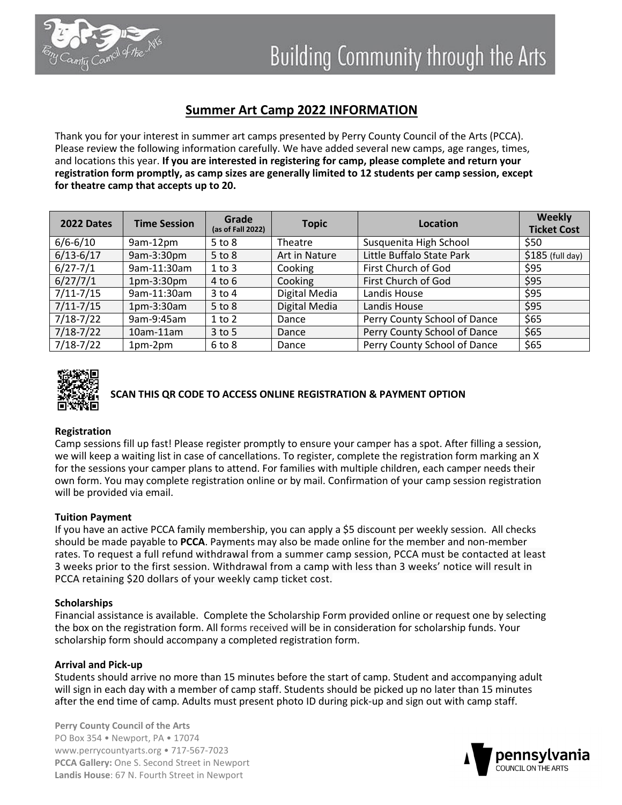

## **Summer Art Camp 2022 INFORMATION**

Thank you for your interest in summer art camps presented by Perry County Council of the Arts (PCCA). Please review the following information carefully. We have added several new camps, age ranges, times, and locations this year. **If you are interested in registering for camp, please complete and return your registration form promptly, as camp sizes are generally limited to 12 students per camp session, except for theatre camp that accepts up to 20.**

| 2022 Dates    | <b>Time Session</b> | Grade<br>(as of Fall 2022) | <b>Topic</b>  | Location                     | <b>Weekly</b><br><b>Ticket Cost</b> |
|---------------|---------------------|----------------------------|---------------|------------------------------|-------------------------------------|
| $6/6 - 6/10$  | 9am-12pm            | $5$ to $8$                 | Theatre       | Susquenita High School       | \$50                                |
| $6/13 - 6/17$ | 9am-3:30pm          | $5$ to $8$                 | Art in Nature | Little Buffalo State Park    | $$185$ (full day)                   |
| $6/27 - 7/1$  | 9am-11:30am         | $1$ to $3$                 | Cooking       | First Church of God          | \$95                                |
| 6/27/7/1      | $1pm-3:30pm$        | $4$ to $6$                 | Cooking       | First Church of God          | \$95                                |
| $7/11 - 7/15$ | 9am-11:30am         | $3$ to $4$                 | Digital Media | Landis House                 | \$95                                |
| $7/11 - 7/15$ | 1pm-3:30am          | $5$ to $8$                 | Digital Media | Landis House                 | \$95                                |
| $7/18 - 7/22$ | 9am-9:45am          | $1$ to $2$                 | Dance         | Perry County School of Dance | \$65                                |
| $7/18 - 7/22$ | $10$ am- $11$ am    | $3$ to 5                   | Dance         | Perry County School of Dance | \$65                                |
| $7/18 - 7/22$ | $1pm-2pm$           | $6$ to $8$                 | Dance         | Perry County School of Dance | \$65                                |



# **SCAN THIS QR CODE TO ACCESS ONLINE REGISTRATION & PAYMENT OPTION**

#### **Registration**

Camp sessions fill up fast! Please register promptly to ensure your camper has a spot. After filling a session, we will keep a waiting list in case of cancellations. To register, complete the registration form marking an X for the sessions your camper plans to attend. For families with multiple children, each camper needs their own form. You may complete registration online or by mail. Confirmation of your camp session registration will be provided via email.

#### **Tuition Payment**

If you have an active PCCA family membership, you can apply a \$5 discount per weekly session. All checks should be made payable to **PCCA**. Payments may also be made online for the member and non-member rates. To request a full refund withdrawal from a summer camp session, PCCA must be contacted at least 3 weeks prior to the first session. Withdrawal from a camp with less than 3 weeks' notice will result in PCCA retaining \$20 dollars of your weekly camp ticket cost.

#### **Scholarships**

Financial assistance is available. Complete the Scholarship Form provided online or request one by selecting the box on the registration form. All forms received will be in consideration for scholarship funds. Your scholarship form should accompany a completed registration form.

#### **Arrival and Pick-up**

Students should arrive no more than 15 minutes before the start of camp. Student and accompanying adult will sign in each day with a member of camp staff. Students should be picked up no later than 15 minutes after the end time of camp. Adults must present photo ID during pick-up and sign out with camp staff.

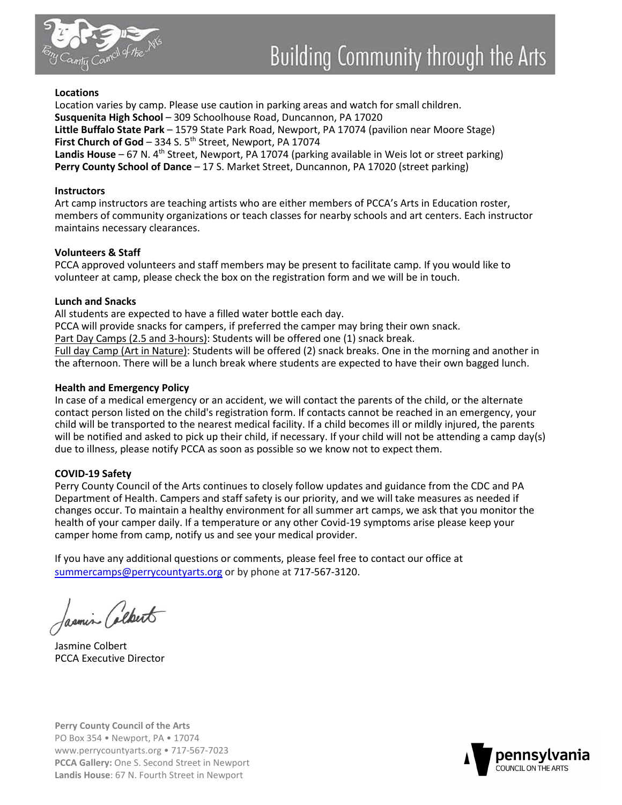

#### **Locations**

Location varies by camp. Please use caution in parking areas and watch for small children. **Susquenita High School** – 309 Schoolhouse Road, Duncannon, PA 17020 **Little Buffalo State Park** – 1579 State Park Road, Newport, PA 17074 (pavilion near Moore Stage) First Church of God - 334 S. 5<sup>th</sup> Street, Newport, PA 17074 Landis House – 67 N. 4<sup>th</sup> Street, Newport, PA 17074 (parking available in Weis lot or street parking) **Perry County School of Dance** – 17 S. Market Street, Duncannon, PA 17020 (street parking)

#### **Instructors**

Art camp instructors are teaching artists who are either members of PCCA's Arts in Education roster, members of community organizations or teach classes for nearby schools and art centers. Each instructor maintains necessary clearances.

#### **Volunteers & Staff**

PCCA approved volunteers and staff members may be present to facilitate camp. If you would like to volunteer at camp, please check the box on the registration form and we will be in touch.

#### **Lunch and Snacks**

All students are expected to have a filled water bottle each day.

PCCA will provide snacks for campers, if preferred the camper may bring their own snack.

Part Day Camps (2.5 and 3-hours): Students will be offered one (1) snack break.

Full day Camp (Art in Nature): Students will be offered (2) snack breaks. One in the morning and another in the afternoon. There will be a lunch break where students are expected to have their own bagged lunch.

#### **Health and Emergency Policy**

In case of a medical emergency or an accident, we will contact the parents of the child, or the alternate contact person listed on the child's registration form. If contacts cannot be reached in an emergency, your child will be transported to the nearest medical facility. If a child becomes ill or mildly injured, the parents will be notified and asked to pick up their child, if necessary. If your child will not be attending a camp day(s) due to illness, please notify PCCA as soon as possible so we know not to expect them.

#### **COVID-19 Safety**

Perry County Council of the Arts continues to closely follow updates and guidance from the CDC and PA Department of Health. Campers and staff safety is our priority, and we will take measures as needed if changes occur. To maintain a healthy environment for all summer art camps, we ask that you monitor the health of your camper daily. If a temperature or any other Covid-19 symptoms arise please keep your camper home from camp, notify us and see your medical provider.

If you have any additional questions or comments, please feel free to contact our office at summercamps@perrycountyarts.org or by phone at 717-567-3120.

Jasmin Colbert

Jasmine Colbert PCCA Executive Director

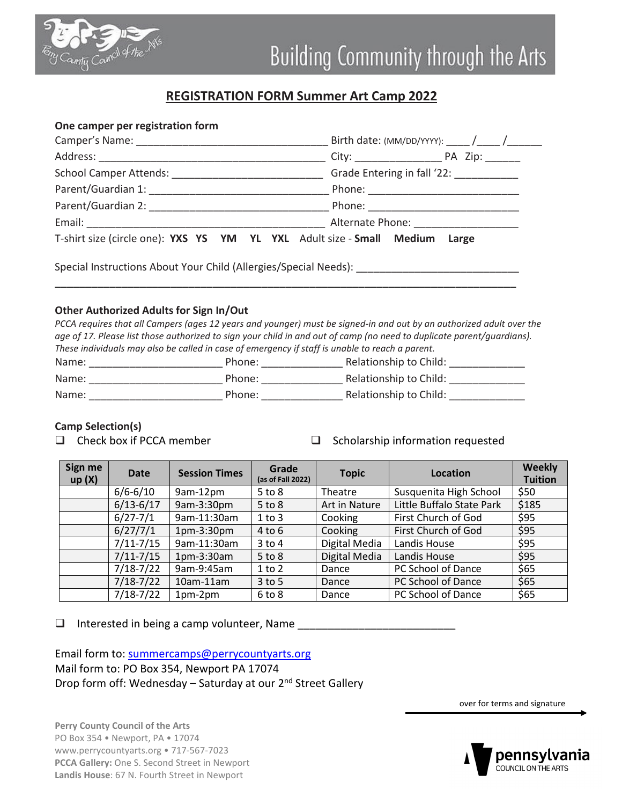

### **REGISTRATION FORM Summer Art Camp 2022**

#### **One camper per registration form**

|                                                                                   | Grade Entering in fall '22: ___________ |  |  |
|-----------------------------------------------------------------------------------|-----------------------------------------|--|--|
|                                                                                   |                                         |  |  |
|                                                                                   |                                         |  |  |
|                                                                                   |                                         |  |  |
| T-shirt size (circle one): YXS YS YM YL YXL Adult size - Small Medium Large       |                                         |  |  |
| Special Instructions About Your Child (Allergies/Special Needs): ________________ |                                         |  |  |

#### **Other Authorized Adults for Sign In/Out**

*PCCA requires that all Campers (ages 12 years and younger) must be signed-in and out by an authorized adult over the age of 17. Please list those authorized to sign your child in and out of camp (no need to duplicate parent/guardians). These individuals may also be called in case of emergency if staff is unable to reach a parent.*

\_\_\_\_\_\_\_\_\_\_\_\_\_\_\_\_\_\_\_\_\_\_\_\_\_\_\_\_\_\_\_\_\_\_\_\_\_\_\_\_\_\_\_\_\_\_\_\_\_\_\_\_\_\_\_\_\_\_\_\_\_\_\_\_\_\_\_\_\_\_\_\_\_\_\_\_

| Name: | Phone: | Relationship to Child: |
|-------|--------|------------------------|
| Name: | Phone: | Relationship to Child: |
| Name: | Phone: | Relationship to Child: |

#### **Camp Selection(s)**

- 
- $\Box$  Check box if PCCA member  $\Box$  Scholarship information requested

| Sign me<br>up(X) | <b>Date</b>   | <b>Session Times</b> | Grade<br>(as of Fall 2022) | <b>Topic</b>  | Location                  | <b>Weekly</b><br><b>Tuition</b> |
|------------------|---------------|----------------------|----------------------------|---------------|---------------------------|---------------------------------|
|                  | $6/6 - 6/10$  | 9am-12pm             | $5$ to $8$                 | Theatre       | Susquenita High School    | \$50                            |
|                  | $6/13 - 6/17$ | 9am-3:30pm           | $5$ to $8$                 | Art in Nature | Little Buffalo State Park | \$185                           |
|                  | $6/27 - 7/1$  | 9am-11:30am          | $1$ to $3$                 | Cooking       | First Church of God       | \$95                            |
|                  | 6/27/7/1      | 1pm-3:30pm           | $4$ to $6$                 | Cooking       | First Church of God       | \$95                            |
|                  | $7/11 - 7/15$ | 9am-11:30am          | $3$ to $4$                 | Digital Media | Landis House              | \$95                            |
|                  | $7/11 - 7/15$ | 1pm-3:30am           | $5$ to $8$                 | Digital Media | Landis House              | \$95                            |
|                  | $7/18 - 7/22$ | 9am-9:45am           | $1$ to $2$                 | Dance         | PC School of Dance        | \$65                            |
|                  | $7/18 - 7/22$ | $10$ am- $11$ am     | $3$ to 5                   | Dance         | PC School of Dance        | \$65                            |
|                  | $7/18 - 7/22$ | 1pm-2pm              | $6$ to $8$                 | Dance         | PC School of Dance        | \$65                            |

 $\Box$  Interested in being a camp volunteer, Name

Email form to: summercamps@perrycountyarts.org Mail form to: PO Box 354, Newport PA 17074 Drop form off: Wednesday - Saturday at our 2<sup>nd</sup> Street Gallery

over for terms and signature